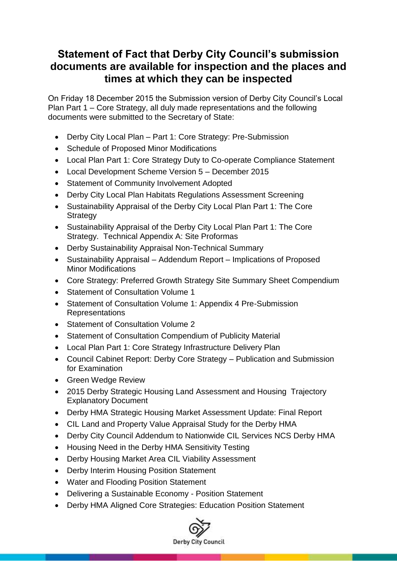## **Statement of Fact that Derby City Council's submission documents are available for inspection and the places and times at which they can be inspected**

On Friday 18 December 2015 the Submission version of Derby City Council's Local Plan Part 1 – Core Strategy, all duly made representations and the following documents were submitted to the Secretary of State:

- Derby City Local Plan Part 1: Core Strategy: Pre-Submission
- Schedule of Proposed Minor Modifications
- Local Plan Part 1: Core Strategy Duty to Co-operate Compliance Statement
- Local Development Scheme Version 5 December 2015
- Statement of Community Involvement Adopted
- Derby City Local Plan Habitats Regulations Assessment Screening
- Sustainability Appraisal of the Derby City Local Plan Part 1: The Core **Strategy**
- Sustainability Appraisal of the Derby City Local Plan Part 1: The Core Strategy. Technical Appendix A: Site Proformas
- Derby Sustainability Appraisal Non-Technical Summary
- Sustainability Appraisal Addendum Report Implications of Proposed Minor Modifications
- Core Strategy: Preferred Growth Strategy Site Summary Sheet Compendium
- Statement of Consultation Volume 1
- Statement of Consultation Volume 1: Appendix 4 Pre-Submission Representations
- Statement of Consultation Volume 2
- Statement of Consultation Compendium of Publicity Material
- Local Plan Part 1: Core Strategy Infrastructure Delivery Plan
- Council Cabinet Report: Derby Core Strategy Publication and Submission for Examination
- Green Wedge Review
- 2015 Derby Strategic Housing Land Assessment and Housing Trajectory Explanatory Document
- Derby HMA Strategic Housing Market Assessment Update: Final Report
- CIL Land and Property Value Appraisal Study for the Derby HMA
- Derby City Council Addendum to Nationwide CIL Services NCS Derby HMA
- Housing Need in the Derby HMA Sensitivity Testing
- Derby Housing Market Area CIL Viability Assessment
- Derby Interim Housing Position Statement
- Water and Flooding Position Statement
- Delivering a Sustainable Economy Position Statement
- Derby HMA Aligned Core Strategies: Education Position Statement

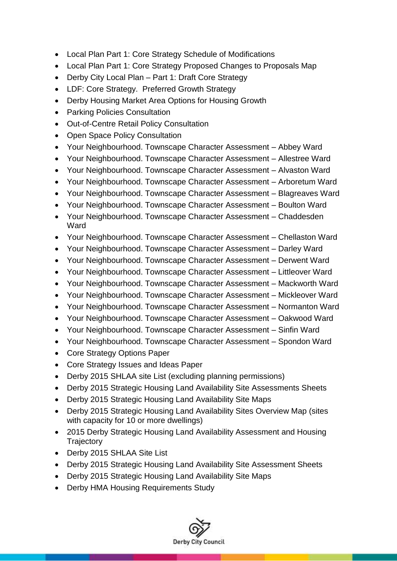- Local Plan Part 1: Core Strategy Schedule of Modifications
- Local Plan Part 1: Core Strategy Proposed Changes to Proposals Map
- Derby City Local Plan Part 1: Draft Core Strategy
- LDF: Core Strategy. Preferred Growth Strategy
- Derby Housing Market Area Options for Housing Growth
- Parking Policies Consultation
- Out-of-Centre Retail Policy Consultation
- Open Space Policy Consultation
- Your Neighbourhood. Townscape Character Assessment Abbey Ward
- Your Neighbourhood. Townscape Character Assessment Allestree Ward
- Your Neighbourhood. Townscape Character Assessment Alvaston Ward
- Your Neighbourhood. Townscape Character Assessment Arboretum Ward
- Your Neighbourhood. Townscape Character Assessment Blagreaves Ward
- Your Neighbourhood. Townscape Character Assessment Boulton Ward
- Your Neighbourhood. Townscape Character Assessment Chaddesden Ward
- Your Neighbourhood. Townscape Character Assessment Chellaston Ward
- Your Neighbourhood. Townscape Character Assessment Darley Ward
- Your Neighbourhood. Townscape Character Assessment Derwent Ward
- Your Neighbourhood. Townscape Character Assessment Littleover Ward
- Your Neighbourhood. Townscape Character Assessment Mackworth Ward
- Your Neighbourhood. Townscape Character Assessment Mickleover Ward
- Your Neighbourhood. Townscape Character Assessment Normanton Ward
- Your Neighbourhood. Townscape Character Assessment Oakwood Ward
- Your Neighbourhood. Townscape Character Assessment Sinfin Ward
- Your Neighbourhood. Townscape Character Assessment Spondon Ward
- Core Strategy Options Paper
- Core Strategy Issues and Ideas Paper
- Derby 2015 SHLAA site List (excluding planning permissions)
- Derby 2015 Strategic Housing Land Availability Site Assessments Sheets
- Derby 2015 Strategic Housing Land Availability Site Maps
- Derby 2015 Strategic Housing Land Availability Sites Overview Map (sites with capacity for 10 or more dwellings)
- 2015 Derby Strategic Housing Land Availability Assessment and Housing **Trajectory**
- Derby 2015 SHLAA Site List
- Derby 2015 Strategic Housing Land Availability Site Assessment Sheets
- Derby 2015 Strategic Housing Land Availability Site Maps
- Derby HMA Housing Requirements Study

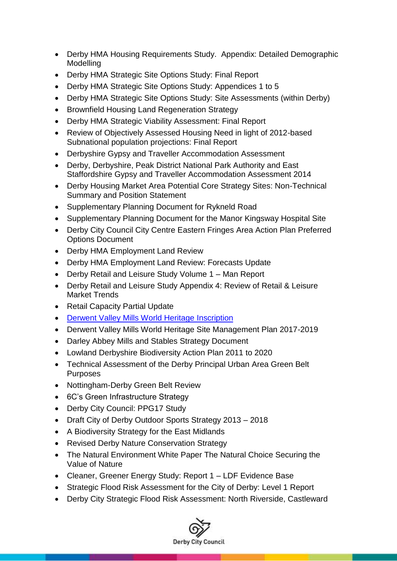- Derby HMA Housing Requirements Study. Appendix: Detailed Demographic **Modelling**
- Derby HMA Strategic Site Options Study: Final Report
- Derby HMA Strategic Site Options Study: Appendices 1 to 5
- Derby HMA Strategic Site Options Study: Site Assessments (within Derby)
- Brownfield Housing Land Regeneration Strategy
- Derby HMA Strategic Viability Assessment: Final Report
- Review of Objectively Assessed Housing Need in light of 2012-based Subnational population projections: Final Report
- Derbyshire Gypsy and Traveller Accommodation Assessment
- Derby, Derbyshire, Peak District National Park Authority and East Staffordshire Gypsy and Traveller Accommodation Assessment 2014
- Derby Housing Market Area Potential Core Strategy Sites: Non-Technical Summary and Position Statement
- Supplementary Planning Document for Rykneld Road
- Supplementary Planning Document for the Manor Kingsway Hospital Site
- Derby City Council City Centre Eastern Fringes Area Action Plan Preferred Options Document
- Derby HMA Employment Land Review
- Derby HMA Employment Land Review: Forecasts Update
- Derby Retail and Leisure Study Volume 1 Man Report
- Derby Retail and Leisure Study Appendix 4: Review of Retail & Leisure Market Trends
- Retail Capacity Partial Update
- [Derwent Valley Mills World Heritage Inscription](http://whc.unesco.org/en/list/1030/)
- Derwent Valley Mills World Heritage Site Management Plan 2017-2019
- Darley Abbey Mills and Stables Strategy Document
- Lowland Derbyshire Biodiversity Action Plan 2011 to 2020
- Technical Assessment of the Derby Principal Urban Area Green Belt Purposes
- Nottingham-Derby Green Belt Review
- 6C's Green Infrastructure Strategy
- Derby City Council: PPG17 Study
- Draft City of Derby Outdoor Sports Strategy 2013 2018
- A Biodiversity Strategy for the East Midlands
- Revised Derby Nature Conservation Strategy
- The Natural Environment White Paper The Natural Choice Securing the Value of Nature
- Cleaner, Greener Energy Study: Report 1 LDF Evidence Base
- Strategic Flood Risk Assessment for the City of Derby: Level 1 Report
- Derby City Strategic Flood Risk Assessment: North Riverside, Castleward